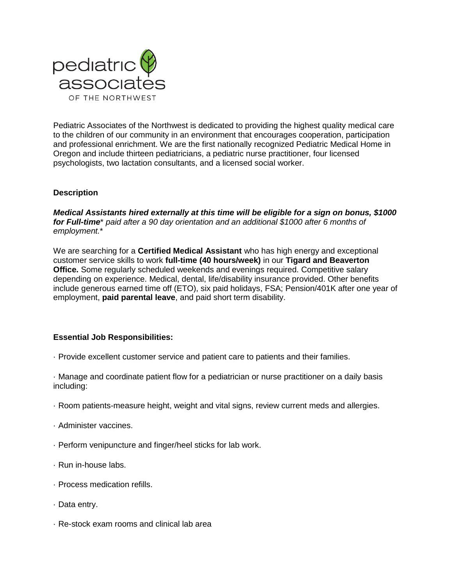

Pediatric Associates of the Northwest is dedicated to providing the highest quality medical care to the children of our community in an environment that encourages cooperation, participation and professional enrichment. We are the first nationally recognized Pediatric Medical Home in Oregon and include thirteen pediatricians, a pediatric nurse practitioner, four licensed psychologists, two lactation consultants, and a licensed social worker.

## **Description**

*Medical Assistants hired externally at this time will be eligible for a sign on bonus, \$1000 for Full-time*\* *paid after a 90 day orientation and an additional \$1000 after 6 months of employment.*\*

We are searching for a **Certified Medical Assistant** who has high energy and exceptional customer service skills to work **full-time (40 hours/week)** in our **Tigard and Beaverton Office.** Some regularly scheduled weekends and evenings required. Competitive salary depending on experience. Medical, dental, life/disability insurance provided. Other benefits include generous earned time off (ETO), six paid holidays, FSA; Pension/401K after one year of employment, **paid parental leave**, and paid short term disability.

# **Essential Job Responsibilities:**

- · Provide excellent customer service and patient care to patients and their families.
- · Manage and coordinate patient flow for a pediatrician or nurse practitioner on a daily basis including:
- · Room patients-measure height, weight and vital signs, review current meds and allergies.
- · Administer vaccines.
- · Perform venipuncture and finger/heel sticks for lab work.
- · Run in-house labs.
- · Process medication refills.
- · Data entry.
- · Re-stock exam rooms and clinical lab area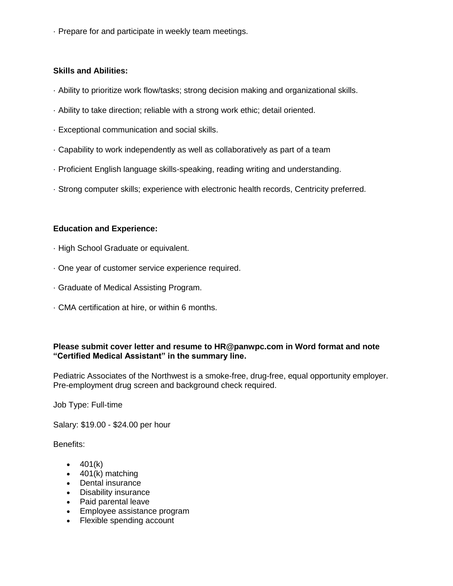· Prepare for and participate in weekly team meetings.

# **Skills and Abilities:**

- · Ability to prioritize work flow/tasks; strong decision making and organizational skills.
- · Ability to take direction; reliable with a strong work ethic; detail oriented.
- · Exceptional communication and social skills.
- · Capability to work independently as well as collaboratively as part of a team
- · Proficient English language skills-speaking, reading writing and understanding.
- · Strong computer skills; experience with electronic health records, Centricity preferred.

## **Education and Experience:**

- · High School Graduate or equivalent.
- · One year of customer service experience required.
- · Graduate of Medical Assisting Program.
- · CMA certification at hire, or within 6 months.

# **Please submit cover letter and resume to HR@panwpc.com in Word format and note "Certified Medical Assistant" in the summary line.**

Pediatric Associates of the Northwest is a smoke-free, drug-free, equal opportunity employer. Pre-employment drug screen and background check required.

Job Type: Full-time

Salary: \$19.00 - \$24.00 per hour

Benefits:

- $-401(k)$
- $\bullet$  401(k) matching
- Dental insurance
- Disability insurance
- Paid parental leave
- Employee assistance program
- Flexible spending account